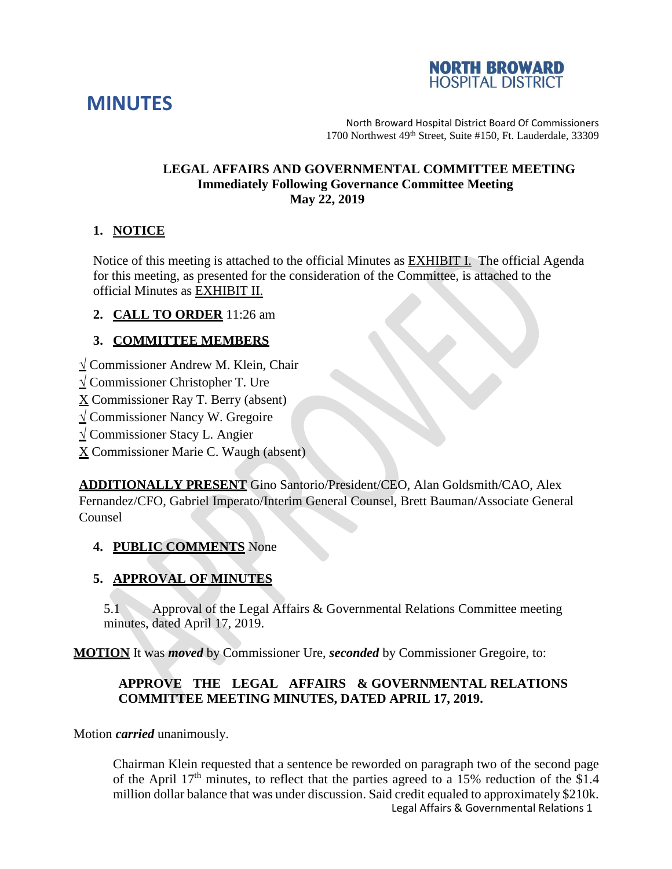



North Broward Hospital District Board Of Commissioners 1700 Northwest 49<sup>th</sup> Street, Suite #150, Ft. Lauderdale, 33309

### **LEGAL AFFAIRS AND GOVERNMENTAL COMMITTEE MEETING Immediately Following Governance Committee Meeting May 22, 2019**

# **1. NOTICE**

Notice of this meeting is attached to the official Minutes as EXHIBIT I. The official Agenda for this meeting, as presented for the consideration of the Committee, is attached to the official Minutes as EXHIBIT II.

**2. CALL TO ORDER** 11:26 am

# **3. COMMITTEE MEMBERS**

- **√** Commissioner Andrew M. Klein, Chair
- **√** Commissioner Christopher T. Ure
- X Commissioner Ray T. Berry (absent)
- **√** Commissioner Nancy W. Gregoire
- **√** Commissioner Stacy L. Angier
- X Commissioner Marie C. Waugh (absent)

**ADDITIONALLY PRESENT** Gino Santorio/President/CEO, Alan Goldsmith/CAO, Alex Fernandez/CFO, Gabriel Imperato/Interim General Counsel, Brett Bauman/Associate General Counsel

# **4. PUBLIC COMMENTS** None

# **5. APPROVAL OF MINUTES**

5.1 Approval of the Legal Affairs & Governmental Relations Committee meeting minutes, dated April 17, 2019.

**MOTION** It was *moved* by Commissioner Ure, *seconded* by Commissioner Gregoire, to:

# **APPROVE THE LEGAL AFFAIRS & GOVERNMENTAL RELATIONS COMMITTEE MEETING MINUTES, DATED APRIL 17, 2019.**

Motion *carried* unanimously.

Legal Affairs & Governmental Relations 1 Chairman Klein requested that a sentence be reworded on paragraph two of the second page of the April  $17<sup>th</sup>$  minutes, to reflect that the parties agreed to a 15% reduction of the \$1.4 million dollar balance that was under discussion. Said credit equaled to approximately \$210k.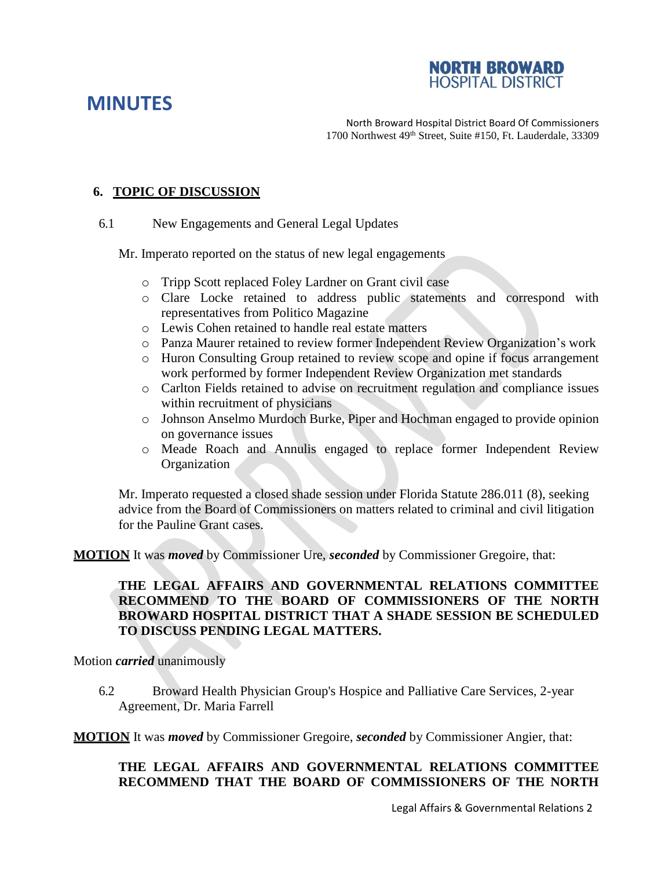

# **MINUTES**

North Broward Hospital District Board Of Commissioners 1700 Northwest 49<sup>th</sup> Street, Suite #150, Ft. Lauderdale, 33309

# **6. TOPIC OF DISCUSSION**

6.1 New Engagements and General Legal Updates

Mr. Imperato reported on the status of new legal engagements

- o Tripp Scott replaced Foley Lardner on Grant civil case
- o Clare Locke retained to address public statements and correspond with representatives from Politico Magazine
- o Lewis Cohen retained to handle real estate matters
- o Panza Maurer retained to review former Independent Review Organization's work
- o Huron Consulting Group retained to review scope and opine if focus arrangement work performed by former Independent Review Organization met standards
- o Carlton Fields retained to advise on recruitment regulation and compliance issues within recruitment of physicians
- o Johnson Anselmo Murdoch Burke, Piper and Hochman engaged to provide opinion on governance issues
- o Meade Roach and Annulis engaged to replace former Independent Review Organization

Mr. Imperato requested a closed shade session under Florida Statute 286.011 (8), seeking advice from the Board of Commissioners on matters related to criminal and civil litigation for the Pauline Grant cases.

**MOTION** It was *moved* by Commissioner Ure, *seconded* by Commissioner Gregoire, that:

## **THE LEGAL AFFAIRS AND GOVERNMENTAL RELATIONS COMMITTEE RECOMMEND TO THE BOARD OF COMMISSIONERS OF THE NORTH BROWARD HOSPITAL DISTRICT THAT A SHADE SESSION BE SCHEDULED TO DISCUSS PENDING LEGAL MATTERS.**

Motion *carried* unanimously

6.2 Broward Health Physician Group's Hospice and Palliative Care Services, 2-year Agreement, Dr. Maria Farrell

**MOTION** It was *moved* by Commissioner Gregoire, *seconded* by Commissioner Angier, that:

### **THE LEGAL AFFAIRS AND GOVERNMENTAL RELATIONS COMMITTEE RECOMMEND THAT THE BOARD OF COMMISSIONERS OF THE NORTH**

Legal Affairs & Governmental Relations 2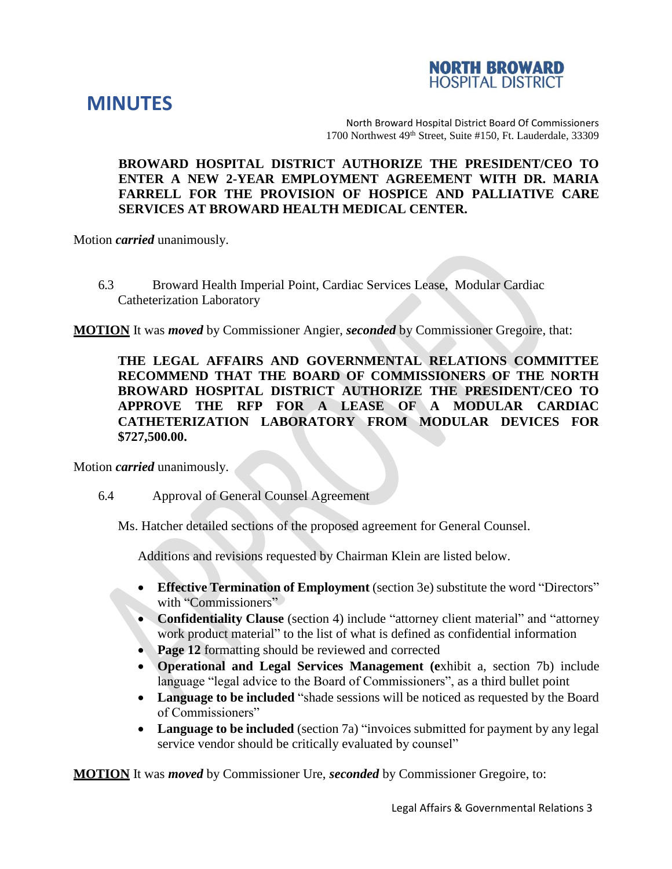



North Broward Hospital District Board Of Commissioners 1700 Northwest 49th Street, Suite #150, Ft. Lauderdale, 33309

## **BROWARD HOSPITAL DISTRICT AUTHORIZE THE PRESIDENT/CEO TO ENTER A NEW 2-YEAR EMPLOYMENT AGREEMENT WITH DR. MARIA FARRELL FOR THE PROVISION OF HOSPICE AND PALLIATIVE CARE SERVICES AT BROWARD HEALTH MEDICAL CENTER.**

Motion *carried* unanimously.

6.3 Broward Health Imperial Point, Cardiac Services Lease, Modular Cardiac Catheterization Laboratory

**MOTION** It was *moved* by Commissioner Angier, *seconded* by Commissioner Gregoire, that:

**THE LEGAL AFFAIRS AND GOVERNMENTAL RELATIONS COMMITTEE RECOMMEND THAT THE BOARD OF COMMISSIONERS OF THE NORTH BROWARD HOSPITAL DISTRICT AUTHORIZE THE PRESIDENT/CEO TO APPROVE THE RFP FOR A LEASE OF A MODULAR CARDIAC CATHETERIZATION LABORATORY FROM MODULAR DEVICES FOR \$727,500.00.**

Motion *carried* unanimously.

#### 6.4 Approval of General Counsel Agreement

Ms. Hatcher detailed sections of the proposed agreement for General Counsel.

Additions and revisions requested by Chairman Klein are listed below.

- **Effective Termination of Employment** (section 3e) substitute the word "Directors" with "Commissioners"
- **Confidentiality Clause** (section 4) include "attorney client material" and "attorney work product material" to the list of what is defined as confidential information
- **Page 12** formatting should be reviewed and corrected
- **Operational and Legal Services Management (e**xhibit a, section 7b) include language "legal advice to the Board of Commissioners", as a third bullet point
- **Language to be included** "shade sessions will be noticed as requested by the Board of Commissioners"
- **Language to be included** (section 7a) "invoices submitted for payment by any legal service vendor should be critically evaluated by counsel"

**MOTION** It was *moved* by Commissioner Ure, *seconded* by Commissioner Gregoire, to: